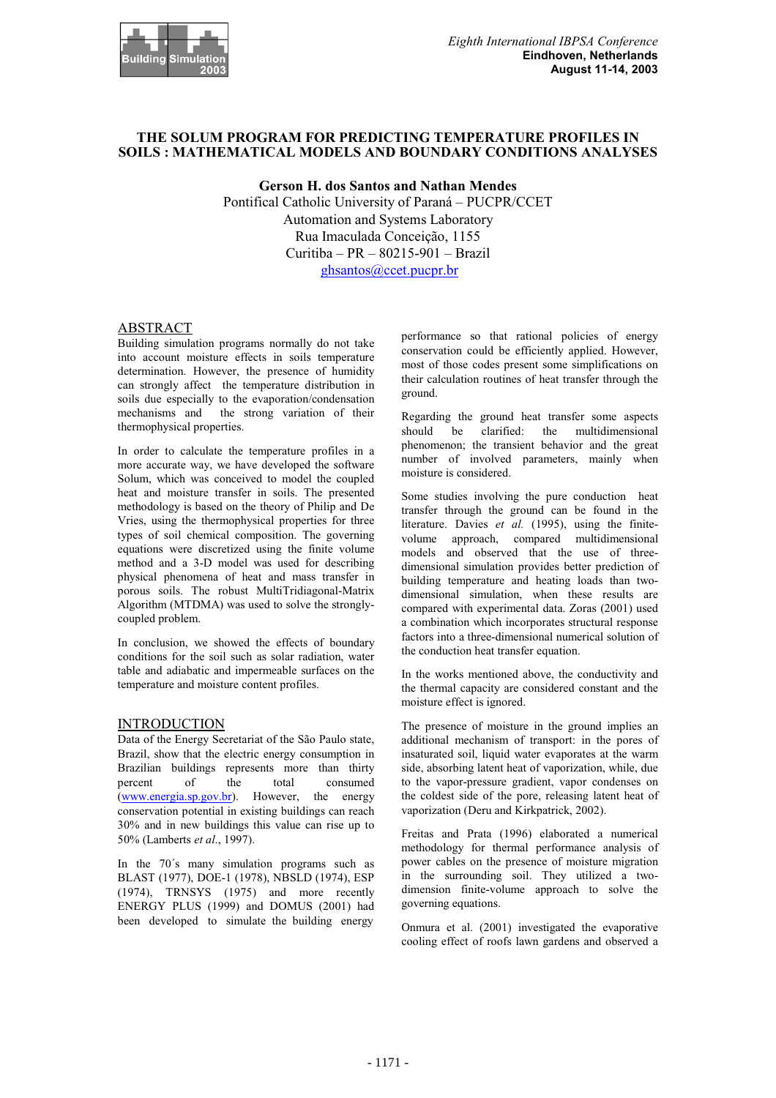

# **THE SOLUM PROGRAM FOR PREDICTING TEMPERATURE PROFILES IN SOILS : MATHEMATICAL MODELS AND BOUNDARY CONDITIONS ANALYSES**

**Gerson H. dos Santos and Nathan Mendes** Pontifical Catholic University of Paraná – PUCPR/CCET Automation and Systems Laboratory Rua Imaculada Conceição, 1155 Curitiba – PR – 80215-901 – Brazil ghsantos@ccet.pucpr.br

## ABSTRACT

Building simulation programs normally do not take into account moisture effects in soils temperature determination. However, the presence of humidity can strongly affect the temperature distribution in soils due especially to the evaporation/condensation mechanisms and the strong variation of their thermophysical properties.

In order to calculate the temperature profiles in a more accurate way, we have developed the software Solum, which was conceived to model the coupled heat and moisture transfer in soils. The presented methodology is based on the theory of Philip and De Vries, using the thermophysical properties for three types of soil chemical composition. The governing equations were discretized using the finite volume method and a 3-D model was used for describing physical phenomena of heat and mass transfer in porous soils. The robust MultiTridiagonal-Matrix Algorithm (MTDMA) was used to solve the stronglycoupled problem.

In conclusion, we showed the effects of boundary conditions for the soil such as solar radiation, water table and adiabatic and impermeable surfaces on the temperature and moisture content profiles.

### **INTRODUCTION**

Data of the Energy Secretariat of the São Paulo state, Brazil, show that the electric energy consumption in Brazilian buildings represents more than thirty percent of the total consumed (www.energia.sp.gov.br). However, the energy conservation potential in existing buildings can reach 30% and in new buildings this value can rise up to 50% (Lamberts *et al*., 1997).

In the 70´s many simulation programs such as BLAST (1977), DOE-1 (1978), NBSLD (1974), ESP (1974), TRNSYS (1975) and more recently ENERGY PLUS (1999) and DOMUS (2001) had been developed to simulate the building energy

performance so that rational policies of energy conservation could be efficiently applied. However, most of those codes present some simplifications on their calculation routines of heat transfer through the ground.

Regarding the ground heat transfer some aspects should be clarified: the multidimensional phenomenon; the transient behavior and the great number of involved parameters, mainly when moisture is considered.

Some studies involving the pure conduction heat transfer through the ground can be found in the literature. Davies *et al.* (1995), using the finitevolume approach, compared multidimensional models and observed that the use of threedimensional simulation provides better prediction of building temperature and heating loads than twodimensional simulation, when these results are compared with experimental data. Zoras (2001) used a combination which incorporates structural response factors into a three-dimensional numerical solution of the conduction heat transfer equation.

In the works mentioned above, the conductivity and the thermal capacity are considered constant and the moisture effect is ignored.

The presence of moisture in the ground implies an additional mechanism of transport: in the pores of insaturated soil, liquid water evaporates at the warm side, absorbing latent heat of vaporization, while, due to the vapor-pressure gradient, vapor condenses on the coldest side of the pore, releasing latent heat of vaporization (Deru and Kirkpatrick, 2002).

Freitas and Prata (1996) elaborated a numerical methodology for thermal performance analysis of power cables on the presence of moisture migration in the surrounding soil. They utilized a twodimension finite-volume approach to solve the governing equations.

Onmura et al. (2001) investigated the evaporative cooling effect of roofs lawn gardens and observed a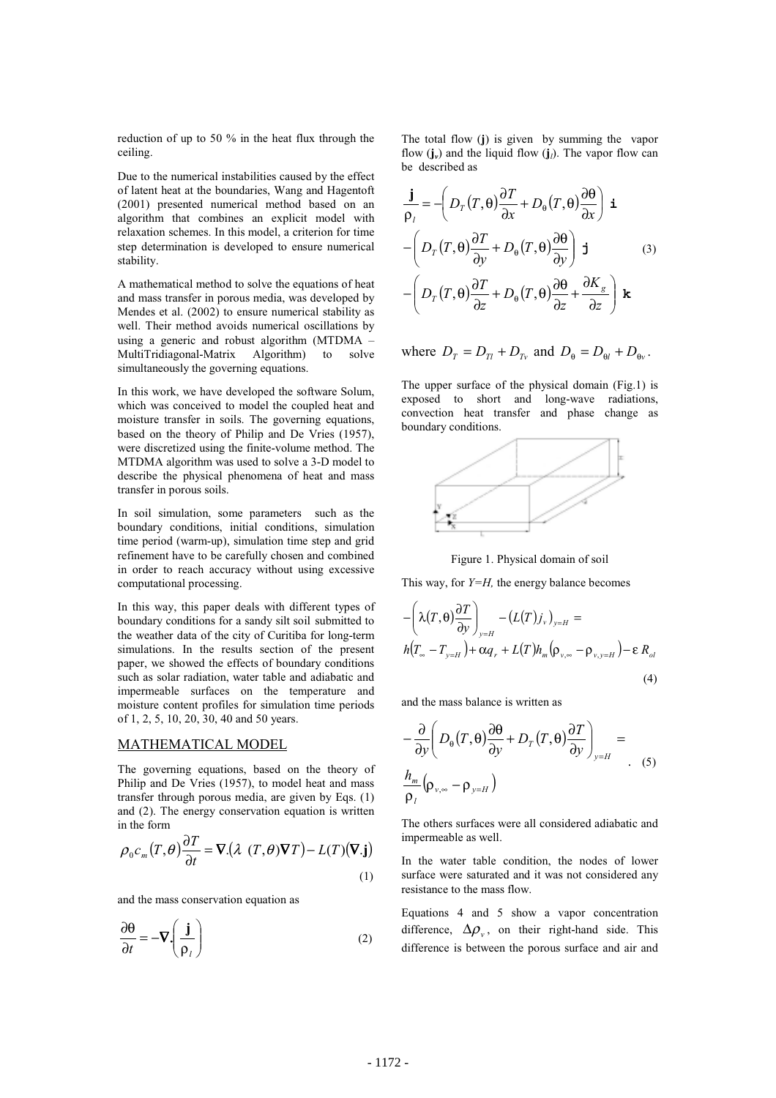reduction of up to 50 % in the heat flux through the ceiling.

Due to the numerical instabilities caused by the effect of latent heat at the boundaries, Wang and Hagentoft (2001) presented numerical method based on an algorithm that combines an explicit model with relaxation schemes. In this model, a criterion for time step determination is developed to ensure numerical stability.

A mathematical method to solve the equations of heat and mass transfer in porous media, was developed by Mendes et al. (2002) to ensure numerical stability as well. Their method avoids numerical oscillations by using a generic and robust algorithm (MTDMA – MultiTridiagonal-Matrix Algorithm) to solve simultaneously the governing equations.

In this work, we have developed the software Solum, which was conceived to model the coupled heat and moisture transfer in soils. The governing equations, based on the theory of Philip and De Vries (1957), were discretized using the finite-volume method. The MTDMA algorithm was used to solve a 3-D model to describe the physical phenomena of heat and mass transfer in porous soils.

In soil simulation, some parameters such as the boundary conditions, initial conditions, simulation time period (warm-up), simulation time step and grid refinement have to be carefully chosen and combined in order to reach accuracy without using excessive computational processing.

In this way, this paper deals with different types of boundary conditions for a sandy silt soil submitted to the weather data of the city of Curitiba for long-term simulations. In the results section of the present paper, we showed the effects of boundary conditions such as solar radiation, water table and adiabatic and impermeable surfaces on the temperature and moisture content profiles for simulation time periods of 1, 2, 5, 10, 20, 30, 40 and 50 years.

### MATHEMATICAL MODEL

The governing equations, based on the theory of Philip and De Vries (1957), to model heat and mass transfer through porous media, are given by Eqs. (1) and (2). The energy conservation equation is written in the form

$$
\rho_0 c_m(T,\theta) \frac{\partial T}{\partial t} = \nabla \left( \lambda \ (T,\theta) \nabla T \right) - L(T) (\nabla . \mathbf{j})
$$
\n(1)

and the mass conservation equation as

$$
\frac{\partial \theta}{\partial t} = -\nabla \left( \frac{\mathbf{j}}{\rho_l} \right)
$$
 (2)

The total flow (**j**) is given by summing the vapor flow  $(i_v)$  and the liquid flow  $(i_l)$ . The vapor flow can be described as

$$
\frac{\mathbf{j}}{\rho_l} = -\left(D_T(T,\theta)\frac{\partial T}{\partial x} + D_{\theta}(T,\theta)\frac{\partial \theta}{\partial x}\right) \mathbf{i}
$$

$$
-\left(D_T(T,\theta)\frac{\partial T}{\partial y} + D_{\theta}(T,\theta)\frac{\partial \theta}{\partial y}\right) \mathbf{j}
$$
(3)
$$
-\left(D_T(T,\theta)\frac{\partial T}{\partial z} + D_{\theta}(T,\theta)\frac{\partial \theta}{\partial z} + \frac{\partial K_g}{\partial z}\right) \mathbf{k}
$$

where  $D_T = D_{T_1} + D_{T_2}$  and  $D_{\theta} = D_{\theta l} + D_{\theta v}$ .

The upper surface of the physical domain (Fig.1) is exposed to short and long-wave radiations, convection heat transfer and phase change as boundary conditions.



Figure 1. Physical domain of soil

This way, for *Y=H*, the energy balance becomes

$$
-\left(\lambda(T,\theta)\frac{\partial T}{\partial y}\right)_{y=H} - \left(L(T)j_{v}\right)_{y=H} =
$$
  

$$
h(T_{\infty} - T_{y=H}) + \alpha q_{r} + L(T)h_{m}(\rho_{v,\infty} - \rho_{v,y=H}) - \varepsilon R_{ol}
$$
  
(4)

and the mass balance is written as

$$
-\frac{\partial}{\partial y}\left(D_{\theta}(T,\theta)\frac{\partial\theta}{\partial y}+D_{T}(T,\theta)\frac{\partial T}{\partial y}\right)_{y=H}=\frac{h_{m}}{\rho_{l}}(\rho_{v,\infty}-\rho_{y=H})
$$
 (5)

The others surfaces were all considered adiabatic and impermeable as well.

In the water table condition, the nodes of lower surface were saturated and it was not considered any resistance to the mass flow.

Equations 4 and 5 show a vapor concentration difference,  $\Delta \rho_{v}$ , on their right-hand side. This difference is between the porous surface and air and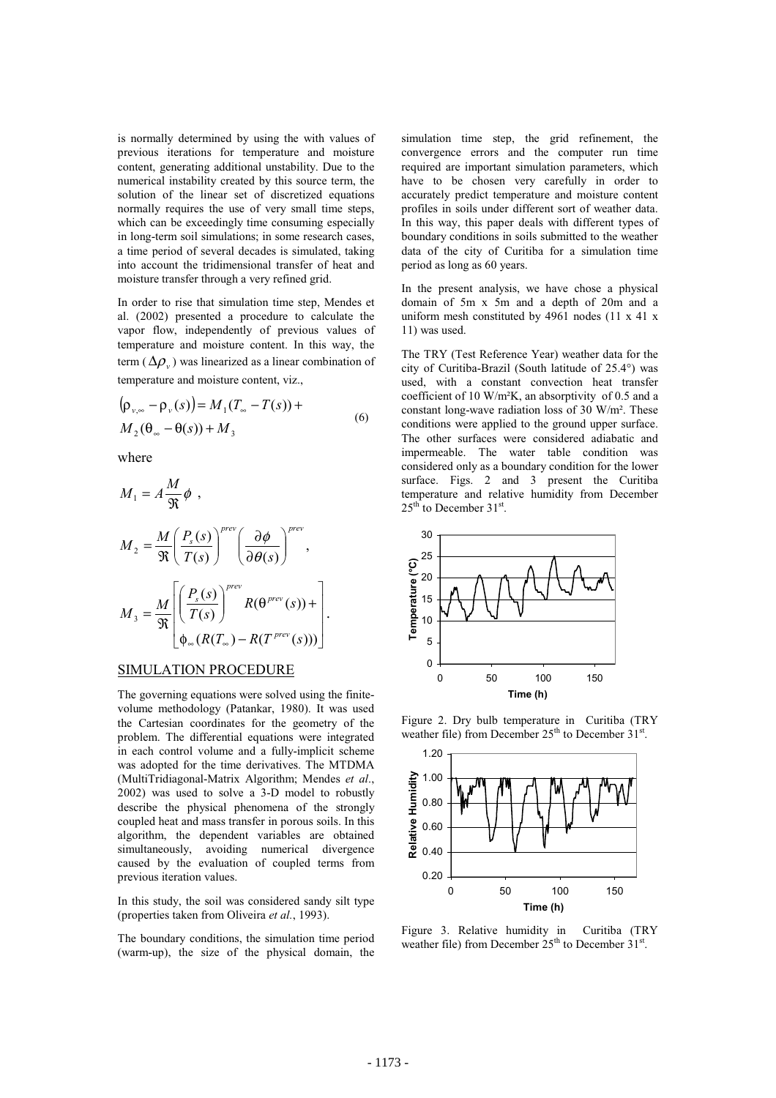is normally determined by using the with values of previous iterations for temperature and moisture content, generating additional unstability. Due to the numerical instability created by this source term, the solution of the linear set of discretized equations normally requires the use of very small time steps, which can be exceedingly time consuming especially in long-term soil simulations; in some research cases, a time period of several decades is simulated, taking into account the tridimensional transfer of heat and moisture transfer through a very refined grid.

In order to rise that simulation time step, Mendes et al. (2002) presented a procedure to calculate the vapor flow, independently of previous values of temperature and moisture content. In this way, the term ( $\Delta \rho$ <sub>*v*</sub>) was linearized as a linear combination of temperature and moisture content, viz.,

$$
(\rho_{\nu,\infty} - \rho_{\nu}(s)) = M_1(T_{\infty} - T(s)) +
$$
  
\n
$$
M_2(\theta_{\infty} - \theta(s)) + M_3
$$
\n(6)

where

$$
M_1 = A \frac{M}{\Re} \phi ,
$$
  
\n
$$
M_2 = \frac{M}{\Re} \left( \frac{P_s(s)}{T(s)} \right)^{prev} \left( \frac{\partial \phi}{\partial \theta(s)} \right)^{prev},
$$
  
\n
$$
M_3 = \frac{M}{\Re} \left[ \left( \frac{P_s(s)}{T(s)} \right)^{prev} R(\theta^{prev}(s)) + \right].
$$
  
\n
$$
\phi_{\infty}(R(T_{\infty}) - R(T^{prev}(s))) \right].
$$

#### SIMULATION PROCEDURE

The governing equations were solved using the finitevolume methodology (Patankar, 1980). It was used the Cartesian coordinates for the geometry of the problem. The differential equations were integrated in each control volume and a fully-implicit scheme was adopted for the time derivatives. The MTDMA (MultiTridiagonal-Matrix Algorithm; Mendes *et al*., 2002) was used to solve a 3-D model to robustly describe the physical phenomena of the strongly coupled heat and mass transfer in porous soils. In this algorithm, the dependent variables are obtained simultaneously, avoiding numerical divergence caused by the evaluation of coupled terms from previous iteration values.

In this study, the soil was considered sandy silt type (properties taken from Oliveira *et al.*, 1993).

The boundary conditions, the simulation time period (warm-up), the size of the physical domain, the

simulation time step, the grid refinement, the convergence errors and the computer run time required are important simulation parameters, which have to be chosen very carefully in order to accurately predict temperature and moisture content profiles in soils under different sort of weather data. In this way, this paper deals with different types of boundary conditions in soils submitted to the weather data of the city of Curitiba for a simulation time period as long as 60 years.

In the present analysis, we have chose a physical domain of 5m x 5m and a depth of 20m and a uniform mesh constituted by 4961 nodes (11 x 41 x 11) was used.

The TRY (Test Reference Year) weather data for the city of Curitiba-Brazil (South latitude of 25.4°) was used, with a constant convection heat transfer coefficient of 10 W/m²K, an absorptivity of 0.5 and a constant long-wave radiation loss of 30 W/m². These conditions were applied to the ground upper surface. The other surfaces were considered adiabatic and impermeable. The water table condition was considered only as a boundary condition for the lower surface. Figs. 2 and 3 present the Curitiba temperature and relative humidity from December  $25<sup>th</sup>$  to December 31<sup>st</sup>.



Figure 2. Dry bulb temperature in Curitiba (TRY weather file) from December  $25<sup>th</sup>$  to December  $31<sup>st</sup>$ .



Figure 3. Relative humidity in Curitiba (TRY weather file) from December  $25<sup>th</sup>$  to December  $31<sup>st</sup>$ .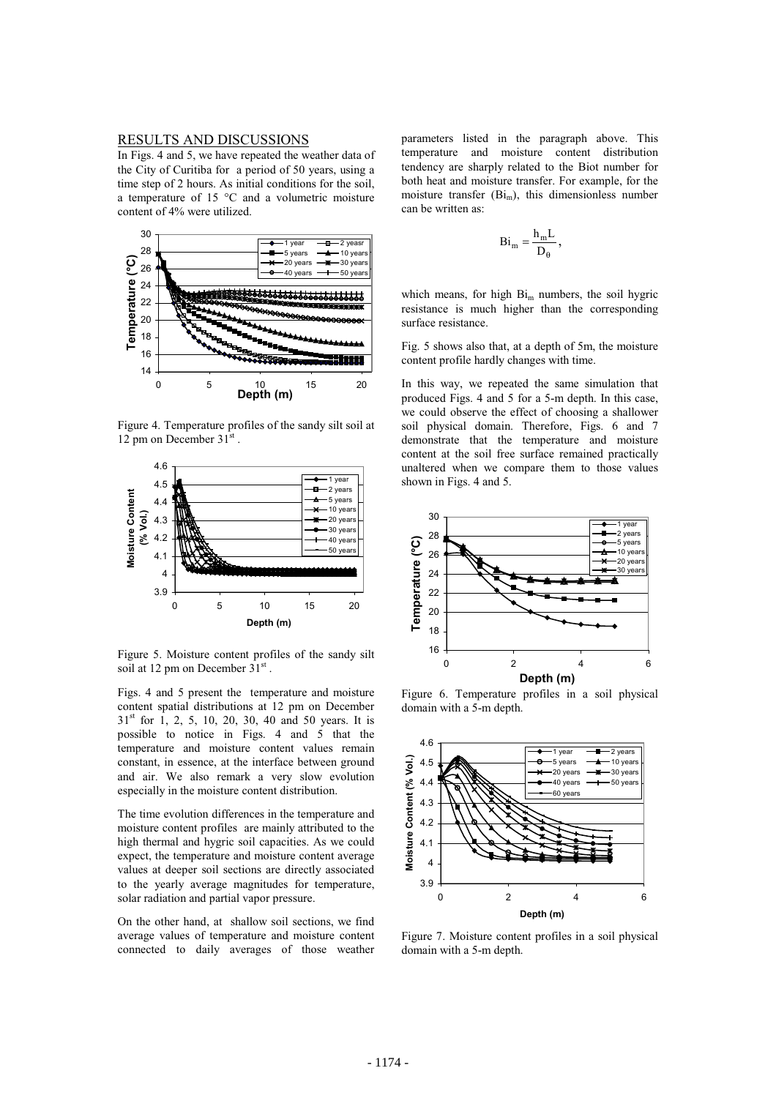# RESULTS AND DISCUSSIONS

In Figs. 4 and 5, we have repeated the weather data of the City of Curitiba for a period of 50 years, using a time step of 2 hours. As initial conditions for the soil, a temperature of 15 °C and a volumetric moisture content of 4% were utilized.



Figure 4. Temperature profiles of the sandy silt soil at 12 pm on December 31st.



Figure 5. Moisture content profiles of the sandy silt soil at 12 pm on December  $31<sup>st</sup>$ .

Figs. 4 and 5 present the temperature and moisture content spatial distributions at 12 pm on December  $31<sup>st</sup>$  for 1, 2, 5, 10, 20, 30, 40 and 50 years. It is possible to notice in Figs. 4 and 5 that the temperature and moisture content values remain constant, in essence, at the interface between ground and air. We also remark a very slow evolution especially in the moisture content distribution.

The time evolution differences in the temperature and moisture content profiles are mainly attributed to the high thermal and hygric soil capacities. As we could expect, the temperature and moisture content average values at deeper soil sections are directly associated to the yearly average magnitudes for temperature, solar radiation and partial vapor pressure.

On the other hand, at shallow soil sections, we find average values of temperature and moisture content connected to daily averages of those weather parameters listed in the paragraph above. This temperature and moisture content distribution tendency are sharply related to the Biot number for both heat and moisture transfer. For example, for the moisture transfer  $(Bi_m)$ , this dimensionless number can be written as:

$$
Bi_m=\frac{h_m L}{D_\theta}\,,
$$

which means, for high  $Bi<sub>m</sub>$  numbers, the soil hygric resistance is much higher than the corresponding surface resistance.

Fig. 5 shows also that, at a depth of 5m, the moisture content profile hardly changes with time.

In this way, we repeated the same simulation that produced Figs. 4 and 5 for a 5-m depth. In this case, we could observe the effect of choosing a shallower soil physical domain. Therefore, Figs. 6 and 7 demonstrate that the temperature and moisture content at the soil free surface remained practically unaltered when we compare them to those values shown in Figs. 4 and 5.



Figure 6. Temperature profiles in a soil physical domain with a 5-m depth.



Figure 7. Moisture content profiles in a soil physical domain with a 5-m depth.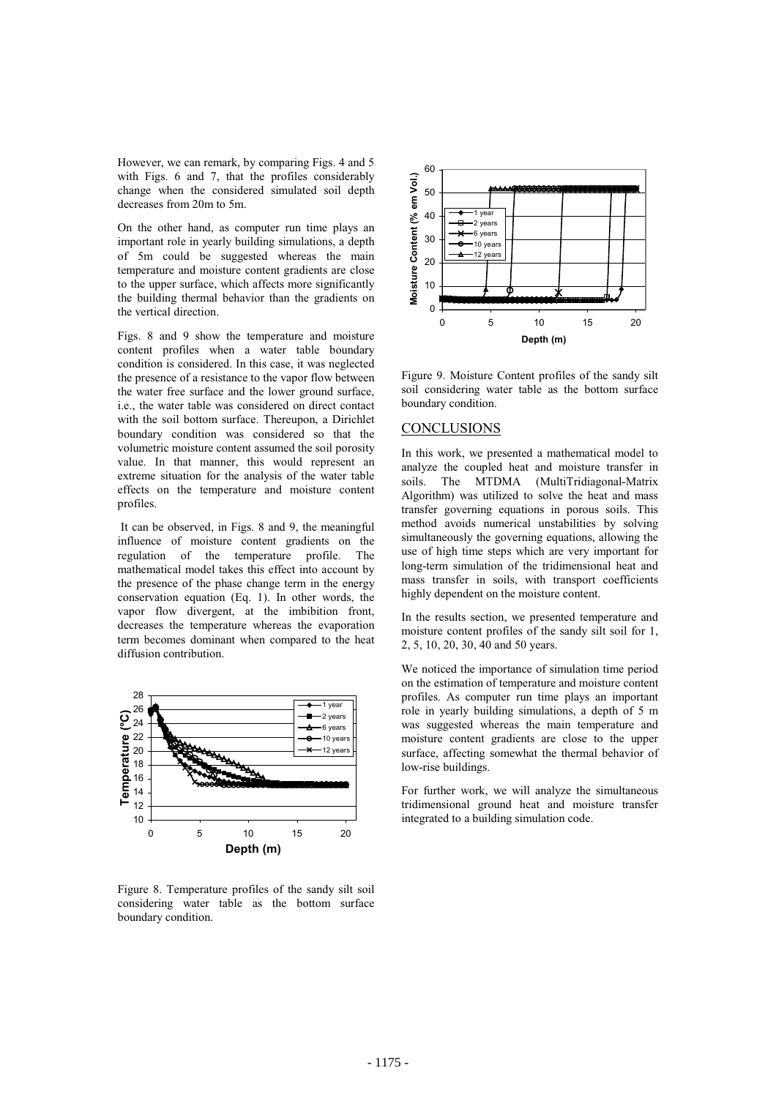However, we can remark, by comparing Figs. 4 and 5 with Figs. 6 and 7, that the profiles considerably change when the considered simulated soil depth decreases from 20m to 5m.

On the other hand, as computer run time plays an important role in yearly building simulations, a depth of 5m could be suggested whereas the main temperature and moisture content gradients are close to the upper surface, which affects more significantly the building thermal behavior than the gradients on the vertical direction.

Figs. 8 and 9 show the temperature and moisture content profiles when a water table boundary condition is considered. In this case, it was neglected the presence of a resistance to the vapor flow between the water free surface and the lower ground surface, i.e., the water table was considered on direct contact with the soil bottom surface. Thereupon, a Dirichlet boundary condition was considered so that the volumetric moisture content assumed the soil porosity value. In that manner, this would represent an extreme situation for the analysis of the water table effects on the temperature and moisture content profiles.

 It can be observed, in Figs. 8 and 9, the meaningful influence of moisture content gradients on the regulation of the temperature profile. The mathematical model takes this effect into account by the presence of the phase change term in the energy conservation equation (Eq. 1). In other words, the vapor flow divergent, at the imbibition front, decreases the temperature whereas the evaporation term becomes dominant when compared to the heat diffusion contribution.



Figure 8. Temperature profiles of the sandy silt soil considering water table as the bottom surface boundary condition.



Figure 9. Moisture Content profiles of the sandy silt soil considering water table as the bottom surface boundary condition.

# **CONCLUSIONS**

In this work, we presented a mathematical model to analyze the coupled heat and moisture transfer in soils. The MTDMA (MultiTridiagonal-Matrix Algorithm) was utilized to solve the heat and mass transfer governing equations in porous soils. This method avoids numerical unstabilities by solving simultaneously the governing equations, allowing the use of high time steps which are very important for long-term simulation of the tridimensional heat and mass transfer in soils, with transport coefficients highly dependent on the moisture content.

In the results section, we presented temperature and moisture content profiles of the sandy silt soil for 1, 2, 5, 10, 20, 30, 40 and 50 years.

We noticed the importance of simulation time period on the estimation of temperature and moisture content profiles. As computer run time plays an important role in yearly building simulations, a depth of 5 m was suggested whereas the main temperature and moisture content gradients are close to the upper surface, affecting somewhat the thermal behavior of low-rise buildings.

For further work, we will analyze the simultaneous tridimensional ground heat and moisture transfer